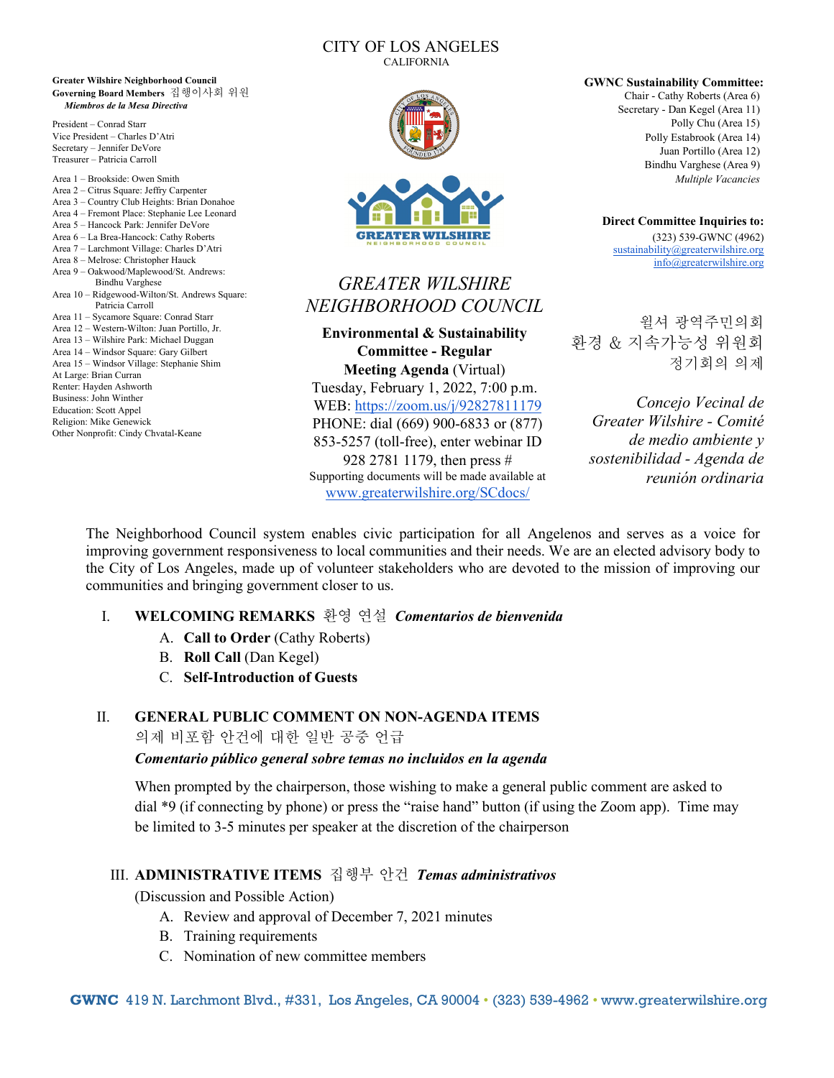#### CITY OF LOS ANGELES CALIFORNIA

**Greater Wilshire Neighborhood Council Governing Board Members** 집행이사회 위원 *Miembros de la Mesa Directiva*

President – Conrad Starr Vice President – Charles D'Atri Secretary – Jennifer DeVore Treasurer – Patricia Carroll

Area 1 – Brookside: Owen Smith Area 2 – Citrus Square: Jeffry Carpenter Area 3 – Country Club Heights: Brian Donahoe Area 4 – Fremont Place: Stephanie Lee Leonard Area 5 – Hancock Park: Jennifer DeVore Area 6 – La Brea-Hancock: Cathy Roberts Area 7 – Larchmont Village: Charles D'Atri Area 8 – Melrose: Christopher Hauck Area 9 – Oakwood/Maplewood/St. Andrews: Bindhu Varghese Area 10 – Ridgewood-Wilton/St. Andrews Square: Patricia Carroll Area 11 – Sycamore Square: Conrad Starr Area 12 – Western-Wilton: Juan Portillo, Jr. Area 13 – Wilshire Park: Michael Duggan Area 14 – Windsor Square: Gary Gilbert Area 15 – Windsor Village: Stephanie Shim At Large: Brian Curran Renter: Hayden Ashworth Business: John Winther Education: Scott Appel Religion: Mike Genewick Other Nonprofit: Cindy Chvatal-Keane



# *GREATER WILSHIRE NEIGHBORHOOD COUNCIL*

**Environmental & Sustainability Committee - Regular Meeting Agenda** (Virtual) Tuesday, February 1, 2022, 7:00 p.m.

WEB:<https://zoom.us/j/92827811179> PHONE: dial (669) 900-6833 or (877) 853-5257 (toll-free), enter webinar ID 928 2781 1179, then press # Supporting documents will be made available at [www.greaterwilshire.org/SCdocs/](http://www.greaterwilshire.org/SCdocs/)

**GWNC Sustainability Committee:** Chair - Cathy Roberts (Area 6) Secretary - Dan Kegel (Area 11) Polly Chu (Area 15) Polly Estabrook (Area 14) Juan Portillo (Area 12) Bindhu Varghese (Area 9) *Multiple Vacancies*

> **Direct Committee Inquiries to:** (323) 539-GWNC (4962) [sustainability@greaterwilshire.org](mailto:sustainability@greaterwilshire.org) [info@greaterwilshire.org](mailto:info@greaterwilshire.org)

윌셔 광역주민의회 환경 & 지속가능성 위원회 정기회의 의제

*Concejo Vecinal de Greater Wilshire - Comité de medio ambiente y sostenibilidad - Agenda de reunión ordinaria* 

The Neighborhood Council system enables civic participation for all Angelenos and serves as a voice for improving government responsiveness to local communities and their needs. We are an elected advisory body to the City of Los Angeles, made up of volunteer stakeholders who are devoted to the mission of improving our communities and bringing government closer to us.

### I. **WELCOMING REMARKS** 환영 연설*Comentarios de bienvenida*

- A. **Call to Order** (Cathy Roberts)
- B. **Roll Call** (Dan Kegel)
- C. **Self-Introduction of Guests**

### II. **GENERAL PUBLIC COMMENT ON NON-AGENDA ITEMS**

의제 비포함 안건에 대한 일반 공중 언급

#### *Comentario público general sobre temas no incluidos en la agenda*

When prompted by the chairperson, those wishing to make a general public comment are asked to dial \*9 (if connecting by phone) or press the "raise hand" button (if using the Zoom app). Time may be limited to 3-5 minutes per speaker at the discretion of the chairperson

# III. **ADMINISTRATIVE ITEMS** 집행부 안건*Temas administrativos*

(Discussion and Possible Action)

- A. Review and approval of December 7, 2021 minutes
- B. Training requirements
- C. Nomination of new committee members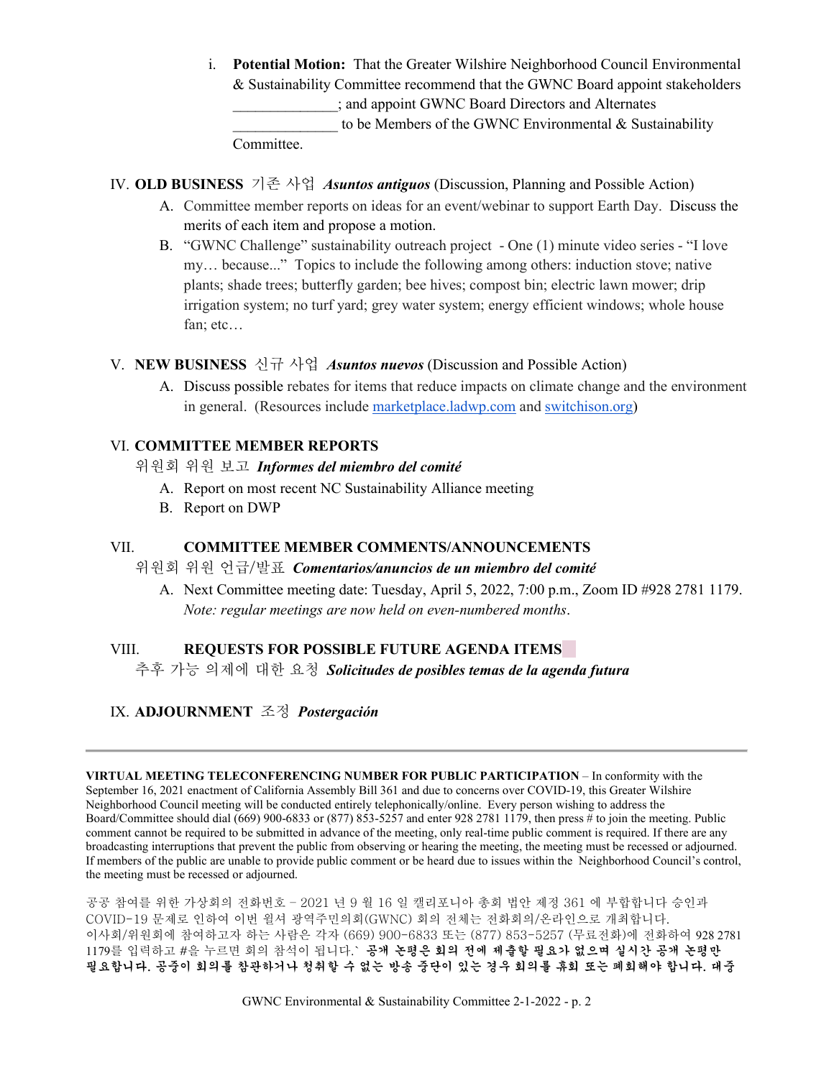i. **Potential Motion:** That the Greater Wilshire Neighborhood Council Environmental & Sustainability Committee recommend that the GWNC Board appoint stakeholders \_\_\_\_\_\_\_\_\_\_\_\_\_\_; and appoint GWNC Board Directors and Alternates to be Members of the GWNC Environmental  $&$  Sustainability Committee.

IV. **OLD BUSINESS** 기존 사업*Asuntos antiguos* (Discussion, Planning and Possible Action)

- A. Committee member reports on ideas for an event/webinar to support Earth Day. Discuss the merits of each item and propose a motion.
- B. "GWNC Challenge" sustainability outreach project One (1) minute video series "I love my… because..." Topics to include the following among others: induction stove; native plants; shade trees; butterfly garden; bee hives; compost bin; electric lawn mower; drip irrigation system; no turf yard; grey water system; energy efficient windows; whole house fan; etc…

### V. **NEW BUSINESS** 신규 사업*Asuntos nuevos* (Discussion and Possible Action)

A. Discuss possible rebates for items that reduce impacts on climate change and the environment in general. (Resources include [marketplace.ladwp.com](http://marketplace.ladwp.com/) an[d](http://switchison.org/) [switchison.org\)](http://switchison.org/)

# VI. **COMMITTEE MEMBER REPORTS**

- 위원회 위원 보고*Informes del miembro del comité* 
	- A. Report on most recent NC Sustainability Alliance meeting
	- B. Report on DWP

### VII. **COMMITTEE MEMBER COMMENTS/ANNOUNCEMENTS**

### 위원회 위원 언급/발표*Comentarios/anuncios de un miembro del comité*

A. Next Committee meeting date: Tuesday, April 5, 2022, 7:00 p.m., Zoom ID #928 2781 1179. *Note: regular meetings are now held on even-numbered months*.

### VIII. **REQUESTS FOR POSSIBLE FUTURE AGENDA ITEMS**

추후 가능 의제에 대한 요청*Solicitudes de posibles temas de la agenda futura*

# IX. **ADJOURNMENT** 조정*Postergación*

**VIRTUAL MEETING TELECONFERENCING NUMBER FOR PUBLIC PARTICIPATION** – In conformity with the September 16, 2021 enactment of California Assembly Bill 361 and due to concerns over COVID-19, this Greater Wilshire Neighborhood Council meeting will be conducted entirely telephonically/online. Every person wishing to address the Board/Committee should dial (669) 900-6833 or (877) 853-5257 and enter 928 2781 1179, then press # to join the meeting. Public comment cannot be required to be submitted in advance of the meeting, only real-time public comment is required. If there are any broadcasting interruptions that prevent the public from observing or hearing the meeting, the meeting must be recessed or adjourned. If members of the public are unable to provide public comment or be heard due to issues within the Neighborhood Council's control, the meeting must be recessed or adjourned.

공공 참여를 위한 가상회의 전화번호 – 2021 년 9 월 16 일 캘리포니아 총회 법안 제정 361 에 부합합니다 승인과 COVID-19 문제로 인하여 이번 윌셔 광역주민의회(GWNC) 회의 전체는 전화회의/온라인으로 개최합니다. 이사회/위원회에 참여하고자 하는 사람은 각자 (669) 900-6833 또는 (877) 853-5257 (무료전화)에 전화하여 928 2781 1179를 입력하고 #을 누르면 회의 참석이 됩니다.` 공개 논평은 회의 전에 제출할 필요가 없으며 실시간 공개 논평만 필요합니다. 공중이 회의를 참관하거나 청취할 수 없는 방송 중단이 있는 경우 회의를 휴회 또는 폐회해야 합니다. 대중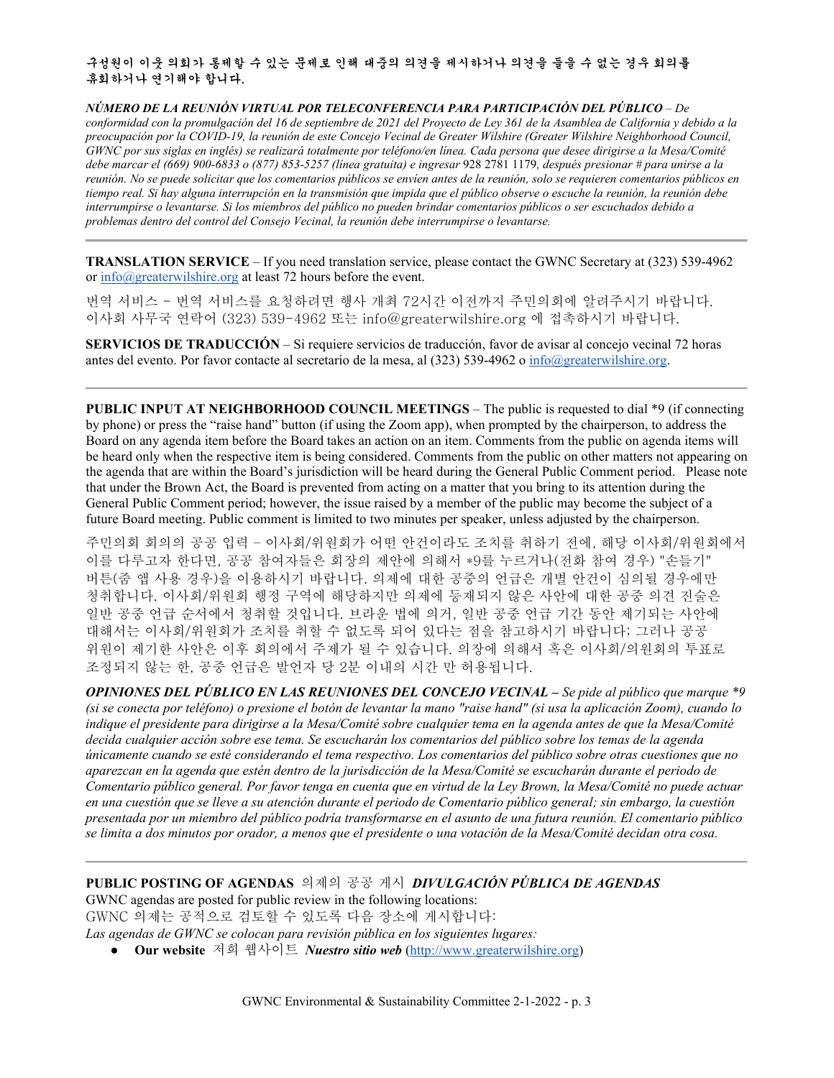구성원이 이웃 의회가 통제할 수 있는 문제로 인해 대중의 의견을 제시하거나 의견을 들을 수 없는 경우 회의를 휴회하거나 연기해야 합니다.

*NÚMERO DE LA REUNIÓN VIRTUAL POR TELECONFERENCIA PARA PARTICIPACIÓN DEL PÚBLICO* – *De conformidad con la promulgación del 16 de septiembre de 2021 del Proyecto de Ley 361 de la Asamblea de California y debido a la preocupación por la COVID-19, la reunión de este Concejo Vecinal de Greater Wilshire (Greater Wilshire Neighborhood Council, GWNC por sus siglas en inglés) se realizará totalmente por teléfono/en línea. Cada persona que desee dirigirse a la Mesa/Comité debe marcar el (669) 900-6833 o (877) 853-5257 (línea gratuita) e ingresar* 928 2781 1179*, después presionar # para unirse a la reunión. No se puede solicitar que los comentarios públicos se envíen antes de la reunión, solo se requieren comentarios públicos en tiempo real. Si hay alguna interrupción en la transmisión que impida que el público observe o escuche la reunión, la reunión debe interrumpirse o levantarse. Si los miembros del público no pueden brindar comentarios públicos o ser escuchados debido a problemas dentro del control del Consejo Vecinal, la reunión debe interrumpirse o levantarse.*

**TRANSLATION SERVICE** – If you need translation service, please contact the GWNC Secretary at (323) 539-4962 or [info@greaterwilshire.org](mailto:info@greaterwilshire.org) at least 72 hours before the event.

번역 서비스 - 번역 서비스를 요청하려면 행사 개최 72시간 이전까지 주민의회에 알려주시기 바랍니다. 이사회 사무국 연락어 (323) 539-4962 또는 [info@greaterwilshire.org](mailto:info@greaterwilshire.org) 에 접촉하시기 바랍니다.

**SERVICIOS DE TRADUCCIÓN** – [Si requiere servicios de traducción, favor de avisar al concejo vecinal 72 horas](http://www.greaterwilshire.org/)  [antes del evento. Por favor contacte al secretario de la mesa, al \(323\) 539-4962 o](http://www.greaterwilshire.org/) [info@greaterwilshire.org](mailto:info@greaterwilshire.org)[.](http://www.greaterwilshire.org/)

**PUBLIC INPUT AT NEIGHBORHOOD COUNCIL MEETINGS – The public is requested to dial \*9 (if connecting** by phone) or press the "raise hand" button (if using the Zoom app), when prompted by the chairperson, to address the Board on any agenda item before the Board takes an action on an item. Comments from the public on agenda items will be heard only when the respective item is being considered. Comments from the public on other matters not appearing on the agenda that are within the Board's jurisdiction will be heard during the General Public Comment period. Please note that under the Brown Act, the Board is prevented from acting on a matter that you bring to its attention during the General Public Comment period; however, the issue raised by a member of the public may become the subject of a future Board meeting. Public comment is limited to two minutes per speaker, unless adjusted by the chairperson.

주민의회 회의의 공공 입력 – 이사회/위원회가 어떤 안건이라도 조치를 취하기 전에, 해당 이사회/위원회에서 이를 다루고자 한다면, 공공 참여자들은 회장의 제안에 의해서 \*9를 누르거나(전화 참여 경우) "손들기" 버튼(줌 앱 사용 경우)을 이용하시기 바랍니다. 의제에 대한 공중의 언급은 개별 안건이 심의될 경우에만 청취합니다. 이사회/위원회 행정 구역에 해당하지만 의제에 등재되지 않은 사안에 대한 공중 의견 진술은 일반 공중 언급 순서에서 청취할 것입니다. 브라운 법에 의거, 일반 공중 언급 기간 동안 제기되는 사안에 대해서는 이사회/위원회가 조치를 취할 수 없도록 되어 있다는 점을 참고하시기 바랍니다; 그러나 공공 위원이 제기한 사안은 이후 회의에서 주제가 될 수 있습니다. 의장에 의해서 혹은 이사회/의원회의 투표로 조정되지 않는 한, 공중 언급은 발언자 당 2분 이내의 시간 만 허용됩니다.

*OPINIONES DEL PÚBLICO EN LAS REUNIONES DEL CONCEJO VECINAL – Se pide al público que marque \*9 (si se conecta por teléfono) o presione el botón de levantar la mano "raise hand" (si usa la aplicación Zoom), cuando lo indique el presidente para dirigirse a la Mesa/Comité sobre cualquier tema en la agenda antes de que la Mesa/Comité decida cualquier acción sobre ese tema. Se escucharán los comentarios del público sobre los temas de la agenda únicamente cuando se esté considerando el tema respectivo. Los comentarios del público sobre otras cuestiones que no aparezcan en la agenda que estén dentro de la jurisdicción de la Mesa/Comité se escucharán durante el periodo de Comentario público general. Por favor tenga en cuenta que en virtud de la Ley Brown, la Mesa/Comité no puede actuar en una cuestión que se lleve a su atención durante el periodo de Comentario público general; sin embargo, la cuestión presentada por un miembro del público podría transformarse en el asunto de una futura reunión. El comentario público se limita a dos minutos por orador, a menos que el presidente o una votación de la Mesa/Comité decidan otra cosa.*

**PUBLIC POSTING OF AGENDAS** 의제의 공공 게시*DIVULGACIÓN PÚBLICA DE AGENDAS*  GWNC agendas are posted for public review in the following locations:

GWNC 의제는 공적으로 검토할 수 있도록 다음 장소에 게시합니다:

*Las agendas de GWNC se colocan para revisión pública en los siguientes lugares:*

● **Our website** 저희 웹사이트 *Nuestro sitio web* [\(http://www.greaterwilshire.org\)](http://www.greaterwilshire.org/)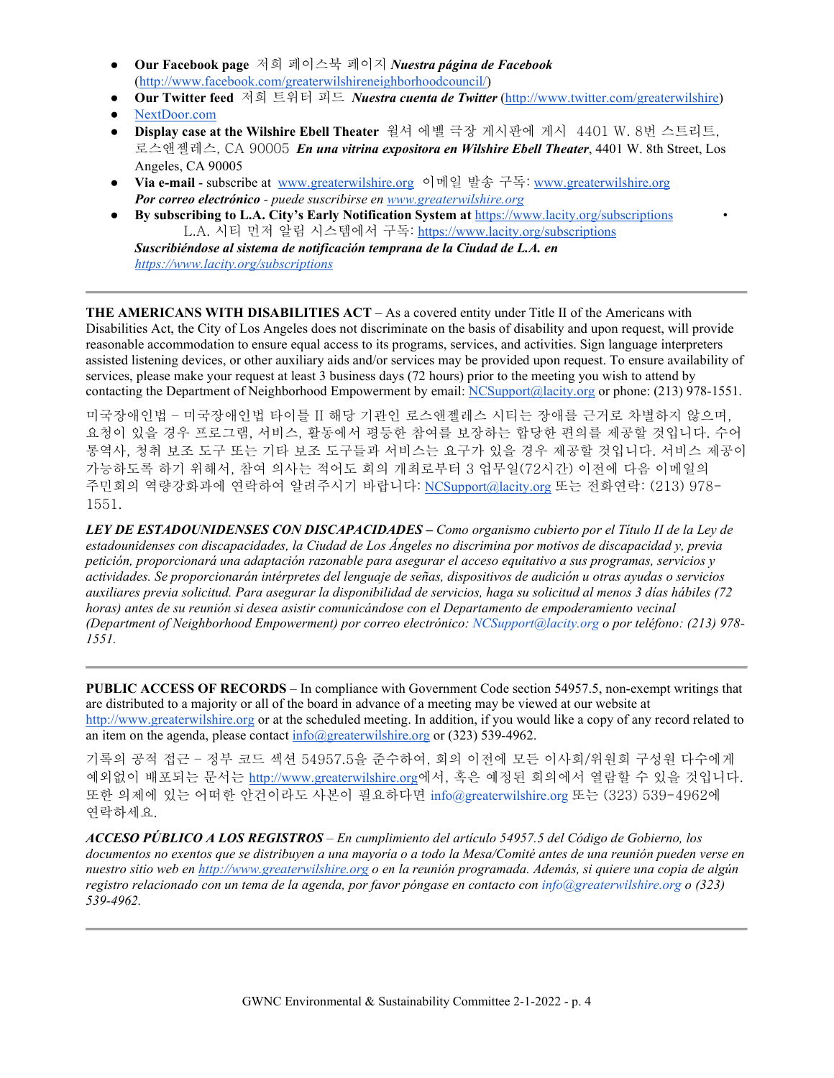- **Our Facebook page** 저희 페이스북 페이지 *Nuestra página de Facebook* [\(http://www.facebook.com/greaterwilshireneighborhoodcouncil/\)](http://www.facebook.com/greaterwilshireneighborhoodcouncil)
- **Our Twitter feed** 저희 트위터 피드 *Nuestra cuenta de Twitter* [\(http://www.twitter.com/greaterwilshire\)](http://www.twitter.com/greaterwilshire)
- [NextDoor.com](https://nextdoor.com/)
- **Display case at the Wilshire Ebell Theater** 윌셔 에벨 극장 게시판에 게시 4401 W. 8번 스트리트, 로스앤젤레스, CA 90005 *En una vitrina expositora en Wilshire Ebell Theater*, 4401 W. 8th Street, Los Angeles, CA 90005
- **Via e-mail** subscribe at [www.greaterwilshire.org](http://www.greaterwilshire.org/) 이메일 발송 구독: [www.greaterwilshire.org](http://www.greaterwilshire.org/) *Por correo electrónico - puede suscribirse en [www.greaterwilshire.org](http://www.greaterwilshire.org/)*
- **By subscribing to L.A. City's Early Notification System at** <https://www.lacity.org/subscriptions> L.A. 시티 먼저 알림 시스템에서 구독: <https://www.lacity.org/subscriptions>

*Suscribiéndose al sistema de notificación temprana de la Ciudad de L.A. en <https://www.lacity.org/subscriptions>*

**THE AMERICANS WITH DISABILITIES ACT** – As a covered entity under Title II of the Americans with Disabilities Act, the City of Los Angeles does not discriminate on the basis of disability and upon request, will provide reasonable accommodation to ensure equal access to its programs, services, and activities. Sign language interpreters assisted listening devices, or other auxiliary aids and/or services may be provided upon request. To ensure availability of services, please make your request at least 3 business days (72 hours) prior to the meeting you wish to attend by contacting the Department of Neighborhood Empowerment by email: [NCSupport@lacity.org](mailto:NCSupport@lacity.org) or phone: (213) 978-1551.

미국장애인법 – 미국장애인법 타이틀 II 해당 기관인 로스앤젤레스 시티는 장애를 근거로 차별하지 않으며, 요청이 있을 경우 프로그램, 서비스, 활동에서 평등한 참여를 보장하는 합당한 편의를 제공할 것입니다. 수어 통역사, 청취 보조 도구 또는 기타 보조 도구들과 서비스는 요구가 있을 경우 제공할 것입니다. 서비스 제공이 가능하도록 하기 위해서, 참여 의사는 적어도 회의 개최로부터 3 업무일(72시간) 이전에 다음 이메일의 주민회의 역량강화과에 연락하여 알려주시기 바랍니다: [NCSupport@lacity.org](mailto:NCSupport@lacity.org) 또는 전화연락: (213) 978- 1551.

*LEY DE ESTADOUNIDENSES CON DISCAPACIDADES – Como organismo cubierto por el Título II de la Ley de estadounidenses con discapacidades, la Ciudad de Los Ángeles no discrimina por motivos de discapacidad y, previa petición, proporcionará una adaptación razonable para asegurar el acceso equitativo a sus programas, servicios y actividades. Se proporcionarán intérpretes del lenguaje de señas, dispositivos de audición u otras ayudas o servicios auxiliares previa solicitud. Para asegurar la disponibilidad de servicios, haga su solicitud al menos 3 días hábiles (72 horas) antes de su reunión si desea asistir comunicándose con el Departamento de empoderamiento vecinal (Department of Neighborhood Empowerment) por correo electrónico: NCSupport@lacity.org o por teléfono: (213) 978- 1551.* 

**PUBLIC ACCESS OF RECORDS** – In compliance with Government Code section 54957.5, non-exempt writings that are distributed to a majority or all of the board in advance of a meeting may be viewed at our website at [http://www.greaterwilshire.org](http://www.greaterwilshire.org/) or at the scheduled meeting. In addition, if you would like a copy of any record related to an item on the agenda, please contac[t info@greaterwilshire.org](mailto:info@greaterwilshire.org) or (323) 539-4962.

기록의 공적 접근 – 정부 코드 섹션 54957.5을 준수하여, 회의 이전에 모든 이사회/위원회 구성원 다수에게 예외없이 배포되는 문서[는](http://www.greaterwilshire.org/) [http://www.greaterwilshire.org](http://www.greaterwilshire.org/)에서, 혹은 예정된 회의에서 열람할 수 있을 것입니다. 또한 의제에 있는 어떠한 안건이라도 사본이 필요하다면 info@greaterwilshire.org 또는 (323) 539-4962에 연락하세요.

*ACCESO PÚBLICO A LOS REGISTROS – En cumplimiento del artículo 54957.5 del Código de Gobierno, los documentos no exentos que se distribuyen a una mayoría o a todo la Mesa/Comité antes de una reunión pueden verse en nuestro sitio web en [http://www.greaterwilshire.org](http://www.greaterwilshire.org/) o en la reunión programada. Además, si quiere una copia de algún registro relacionado con un tema de la agenda, por favor póngase en contacto con info@greaterwilshire.org o (323) 539-4962.*